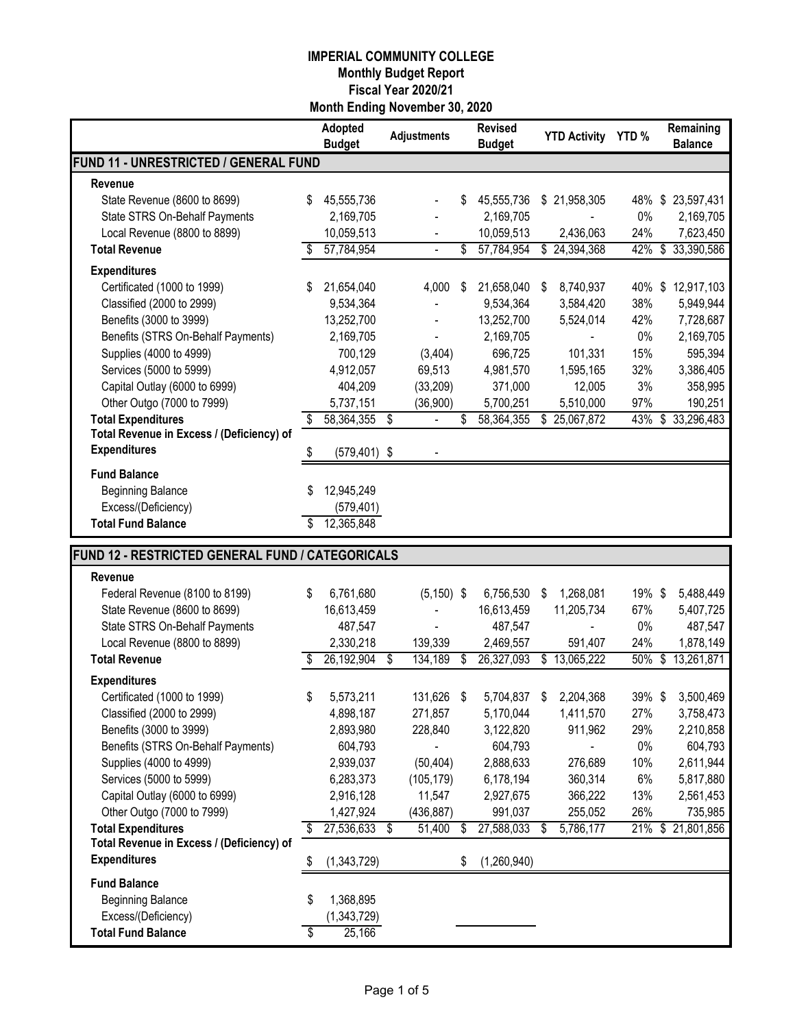|                                                  |    | Adopted<br><b>Budget</b> | <b>Adjustments</b>   | <b>Revised</b><br><b>Budget</b> |                          | <b>YTD Activity</b>        | YTD%   |                          | Remaining<br><b>Balance</b> |
|--------------------------------------------------|----|--------------------------|----------------------|---------------------------------|--------------------------|----------------------------|--------|--------------------------|-----------------------------|
| FUND 11 - UNRESTRICTED / GENERAL FUND            |    |                          |                      |                                 |                          |                            |        |                          |                             |
| Revenue                                          |    |                          |                      |                                 |                          |                            |        |                          |                             |
| State Revenue (8600 to 8699)                     | \$ | 45,555,736               |                      | \$<br>45,555,736                | \$                       | 21,958,305                 | 48%    | \$                       | 23,597,431                  |
| State STRS On-Behalf Payments                    |    | 2,169,705                |                      | 2,169,705                       |                          |                            | 0%     |                          | 2,169,705                   |
| Local Revenue (8800 to 8899)                     |    | 10,059,513               |                      | 10,059,513                      |                          | 2,436,063                  | 24%    |                          | 7,623,450                   |
| <b>Total Revenue</b>                             | \$ | 57,784,954               |                      | \$<br>57,784,954                |                          | \$24,394,368               | 42%    | \$                       | 33,390,586                  |
| <b>Expenditures</b>                              |    |                          |                      |                                 |                          |                            |        |                          |                             |
| Certificated (1000 to 1999)                      | S  | 21,654,040               | 4,000                | \$<br>21,658,040                | \$                       | 8,740,937                  |        |                          | 40% \$12,917,103            |
| Classified (2000 to 2999)                        |    | 9,534,364                |                      | 9,534,364                       |                          | 3,584,420                  | 38%    |                          | 5,949,944                   |
| Benefits (3000 to 3999)                          |    | 13,252,700               |                      | 13,252,700                      |                          | 5,524,014                  | 42%    |                          | 7,728,687                   |
| Benefits (STRS On-Behalf Payments)               |    | 2,169,705                |                      | 2,169,705                       |                          |                            | 0%     |                          | 2,169,705                   |
| Supplies (4000 to 4999)                          |    | 700,129                  | (3,404)              | 696,725                         |                          | 101,331                    | 15%    |                          | 595,394                     |
| Services (5000 to 5999)                          |    | 4,912,057                | 69,513               | 4,981,570                       |                          | 1,595,165                  | 32%    |                          | 3,386,405                   |
| Capital Outlay (6000 to 6999)                    |    | 404,209                  | (33, 209)            | 371,000                         |                          | 12,005                     | 3%     |                          | 358,995                     |
| Other Outgo (7000 to 7999)                       |    | 5,737,151                | (36,900)             | 5,700,251                       |                          | 5,510,000                  | 97%    |                          | 190,251                     |
| <b>Total Expenditures</b>                        | \$ | 58,364,355               | \$<br>$\blacksquare$ | \$<br>58,364,355                |                          | $\overline{\$}$ 25,067,872 | 43%    |                          | \$33,296,483                |
| Total Revenue in Excess / (Deficiency) of        |    |                          |                      |                                 |                          |                            |        |                          |                             |
| <b>Expenditures</b>                              | S  | $(579, 401)$ \$          |                      |                                 |                          |                            |        |                          |                             |
| <b>Fund Balance</b>                              |    |                          |                      |                                 |                          |                            |        |                          |                             |
| <b>Beginning Balance</b>                         |    | 12,945,249               |                      |                                 |                          |                            |        |                          |                             |
| Excess/(Deficiency)                              |    | (579, 401)               |                      |                                 |                          |                            |        |                          |                             |
| <b>Total Fund Balance</b>                        | \$ | 12,365,848               |                      |                                 |                          |                            |        |                          |                             |
|                                                  |    |                          |                      |                                 |                          |                            |        |                          |                             |
| FUND 12 - RESTRICTED GENERAL FUND / CATEGORICALS |    |                          |                      |                                 |                          |                            |        |                          |                             |
| Revenue                                          |    |                          |                      |                                 |                          |                            |        |                          |                             |
| Federal Revenue (8100 to 8199)                   | S  | 6,761,680                | $(5, 150)$ \$        | 6,756,530                       | S                        | 1,268,081                  | 19% \$ |                          | 5,488,449                   |
| State Revenue (8600 to 8699)                     |    | 16,613,459               |                      | 16,613,459                      |                          | 11,205,734                 | 67%    |                          | 5,407,725                   |
| State STRS On-Behalf Payments                    |    | 487,547                  |                      | 487,547                         |                          |                            | 0%     |                          | 487,547                     |
| Local Revenue (8800 to 8899)                     |    | 2,330,218                | 139,339              | 2,469,557                       |                          | 591,407                    | 24%    |                          | 1,878,149                   |
| <b>Total Revenue</b>                             | S  | 26,192,904               | \$<br>134,189        | \$<br>26,327,093                | $\overline{\mathcal{S}}$ | 13,065,222                 | 50%    | $\overline{\mathcal{S}}$ | 13,261,871                  |
| <b>Expenditures</b>                              |    |                          |                      |                                 |                          |                            |        |                          |                             |
| Certificated (1000 to 1999)                      |    | 5,573,211                | 131,626 \$           | 5,704,837 \$                    |                          | 2,204,368                  | 39%\$  |                          | 3,500,469                   |
| Classified (2000 to 2999)                        |    | 4,898,187                | 271,857              | 5,170,044                       |                          | 1,411,570                  | 27%    |                          | 3,758,473                   |
| Benefits (3000 to 3999)                          |    | 2,893,980                | 228,840              | 3,122,820                       |                          | 911,962                    | 29%    |                          | 2,210,858                   |
| Benefits (STRS On-Behalf Payments)               |    | 604,793                  |                      | 604,793                         |                          | $\blacksquare$             | 0%     |                          | 604,793                     |
| Supplies (4000 to 4999)                          |    | 2,939,037                | (50, 404)            | 2,888,633                       |                          | 276,689                    | 10%    |                          | 2,611,944                   |
| Services (5000 to 5999)                          |    | 6,283,373                | (105, 179)           | 6,178,194                       |                          | 360,314                    | 6%     |                          | 5,817,880                   |
| Capital Outlay (6000 to 6999)                    |    | 2,916,128                | 11,547               | 2,927,675                       |                          | 366,222                    | 13%    |                          | 2,561,453                   |
| Other Outgo (7000 to 7999)                       |    | 1,427,924                | (436, 887)           | 991,037                         |                          | 255,052                    | 26%    |                          | 735,985                     |
| <b>Total Expenditures</b>                        |    | 27,536,633               | \$<br>51,400 \$      | 27,588,033                      | \$                       | 5,786,177                  |        |                          | 21% \$ 21,801,856           |
| Total Revenue in Excess / (Deficiency) of        |    |                          |                      |                                 |                          |                            |        |                          |                             |
| <b>Expenditures</b>                              | S. | (1,343,729)              |                      | \$<br>(1,260,940)               |                          |                            |        |                          |                             |
| <b>Fund Balance</b>                              |    |                          |                      |                                 |                          |                            |        |                          |                             |
| <b>Beginning Balance</b>                         | S  | 1,368,895                |                      |                                 |                          |                            |        |                          |                             |
| Excess/(Deficiency)                              |    | (1,343,729)              |                      |                                 |                          |                            |        |                          |                             |
| <b>Total Fund Balance</b>                        | \$ | 25,166                   |                      |                                 |                          |                            |        |                          |                             |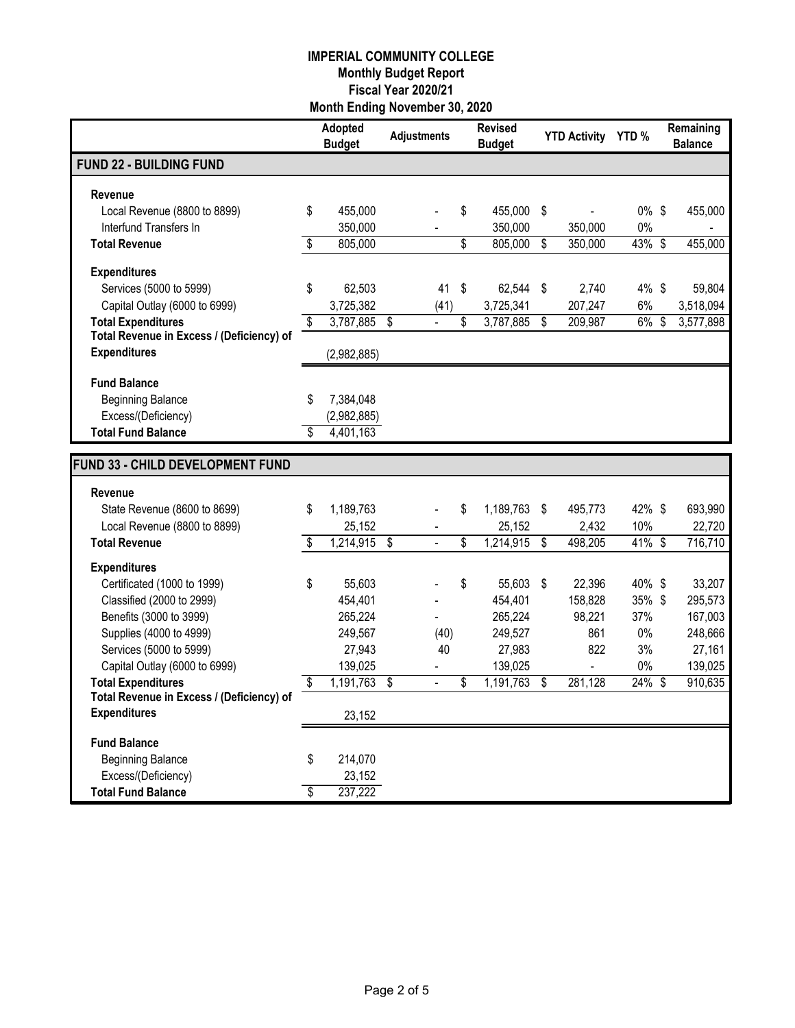|                                                                        | Adopted<br><b>Budget</b> | <b>Adjustments</b> |                | <b>Revised</b><br><b>Budget</b> |      | YTD Activity YTD % |          | Remaining<br><b>Balance</b> |
|------------------------------------------------------------------------|--------------------------|--------------------|----------------|---------------------------------|------|--------------------|----------|-----------------------------|
| <b>FUND 22 - BUILDING FUND</b>                                         |                          |                    |                |                                 |      |                    |          |                             |
| Revenue                                                                |                          |                    |                |                                 |      |                    |          |                             |
| Local Revenue (8800 to 8899)                                           | \$<br>455,000            |                    |                | \$<br>455,000                   | -\$  | ÷,                 | $0\%$ \$ | 455,000                     |
| Interfund Transfers In                                                 | 350,000                  |                    |                | 350,000                         |      | 350,000            | 0%       |                             |
| <b>Total Revenue</b>                                                   | \$<br>805,000            |                    |                | \$<br>805,000                   | \$   | 350,000            | 43%      | \$<br>455,000               |
| <b>Expenditures</b>                                                    |                          |                    |                |                                 |      |                    |          |                             |
| Services (5000 to 5999)                                                | \$<br>62,503             |                    | 41             | \$<br>62,544                    | - \$ | 2,740              | 4% \$    | 59,804                      |
| Capital Outlay (6000 to 6999)                                          | 3,725,382                |                    | (41)           | 3,725,341                       |      | 207,247            | 6%       | 3,518,094                   |
| <b>Total Expenditures</b>                                              | \$<br>3,787,885          | \$                 |                | \$<br>3,787,885                 | \$   | 209,987            | 6%       | \$<br>3,577,898             |
| Total Revenue in Excess / (Deficiency) of<br><b>Expenditures</b>       |                          |                    |                |                                 |      |                    |          |                             |
|                                                                        | (2,982,885)              |                    |                |                                 |      |                    |          |                             |
| <b>Fund Balance</b>                                                    |                          |                    |                |                                 |      |                    |          |                             |
| <b>Beginning Balance</b>                                               | \$<br>7,384,048          |                    |                |                                 |      |                    |          |                             |
| Excess/(Deficiency)                                                    | (2,982,885)              |                    |                |                                 |      |                    |          |                             |
| <b>Total Fund Balance</b>                                              | \$<br>4,401,163          |                    |                |                                 |      |                    |          |                             |
| FUND 33 - CHILD DEVELOPMENT FUND                                       |                          |                    |                |                                 |      |                    |          |                             |
|                                                                        |                          |                    |                |                                 |      |                    |          |                             |
| Revenue                                                                | \$                       |                    |                | \$                              | \$   |                    | 42% \$   |                             |
| State Revenue (8600 to 8699)<br>Local Revenue (8800 to 8899)           | 1,189,763<br>25,152      |                    |                | 1,189,763<br>25,152             |      | 495,773<br>2,432   | 10%      | 693,990<br>22,720           |
| <b>Total Revenue</b>                                                   | \$<br>1,214,915          | \$                 |                | \$<br>1,214,915                 | \$   | 498,205            | 41% \$   | 716,710                     |
|                                                                        |                          |                    |                |                                 |      |                    |          |                             |
| <b>Expenditures</b><br>Certificated (1000 to 1999)                     | \$<br>55,603             |                    |                | \$<br>55,603 \$                 |      | 22,396             | 40% \$   | 33,207                      |
| Classified (2000 to 2999)                                              | 454,401                  |                    |                | 454,401                         |      | 158,828            | 35% \$   | 295,573                     |
| Benefits (3000 to 3999)                                                | 265,224                  |                    |                | 265,224                         |      | 98,221             | 37%      | 167,003                     |
| Supplies (4000 to 4999)                                                | 249,567                  |                    | (40)           | 249,527                         |      | 861                | 0%       | 248,666                     |
| Services (5000 to 5999)                                                | 27,943                   |                    | 40             | 27,983                          |      | 822                | 3%       | 27,161                      |
| Capital Outlay (6000 to 6999)                                          | 139,025                  |                    |                | 139,025                         |      | $\blacksquare$     | 0%       | 139,025                     |
| <b>Total Expenditures</b><br>Total Revenue in Excess / (Deficiency) of | \$<br>1,191,763          | \$                 | $\overline{a}$ | \$<br>1,191,763                 | \$   | 281,128            | 24%      | \$<br>910,635               |
| <b>Expenditures</b>                                                    | 23,152                   |                    |                |                                 |      |                    |          |                             |
|                                                                        |                          |                    |                |                                 |      |                    |          |                             |
| <b>Fund Balance</b>                                                    |                          |                    |                |                                 |      |                    |          |                             |
| <b>Beginning Balance</b>                                               | \$<br>214,070<br>23,152  |                    |                |                                 |      |                    |          |                             |
| Excess/(Deficiency)<br><b>Total Fund Balance</b>                       | \$<br>237,222            |                    |                |                                 |      |                    |          |                             |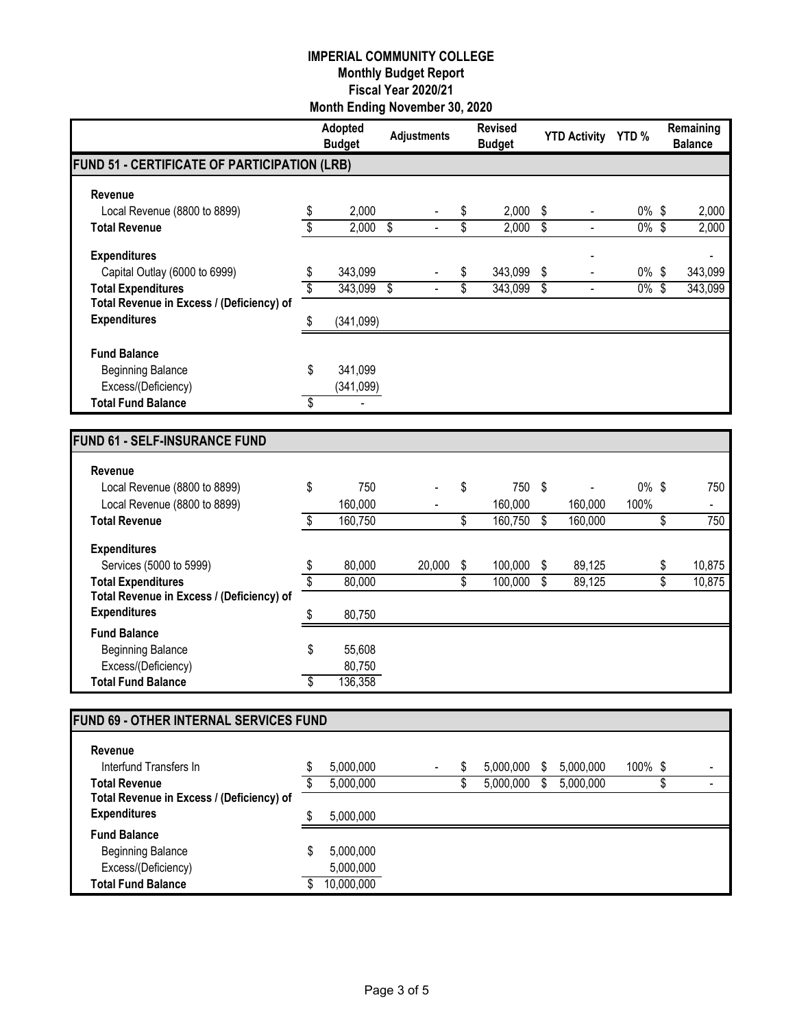|                                                                  |                 | Adopted<br><b>Budget</b> |                          | <b>Adjustments</b> |          | <b>Revised</b><br><b>Budget</b> |                          | <b>YTD Activity</b> | <b>YTD%</b>      | Remaining<br><b>Balance</b>           |
|------------------------------------------------------------------|-----------------|--------------------------|--------------------------|--------------------|----------|---------------------------------|--------------------------|---------------------|------------------|---------------------------------------|
| FUND 51 - CERTIFICATE OF PARTICIPATION (LRB)                     |                 |                          |                          |                    |          |                                 |                          |                     |                  |                                       |
|                                                                  |                 |                          |                          |                    |          |                                 |                          |                     |                  |                                       |
| Revenue<br>Local Revenue (8800 to 8899)                          |                 | 2,000                    |                          |                    |          | 2,000                           | \$                       |                     | $0\%$ \$         | 2,000                                 |
| <b>Total Revenue</b>                                             | \$<br>\$        | $2,000$ \$               |                          |                    | \$<br>\$ | 2,000                           | $\overline{\mathcal{S}}$ |                     | $0\%$ \$         | 2,000                                 |
|                                                                  |                 |                          |                          |                    |          |                                 |                          |                     |                  |                                       |
| <b>Expenditures</b>                                              |                 |                          |                          |                    |          |                                 |                          |                     |                  |                                       |
| Capital Outlay (6000 to 6999)                                    | \$              | 343,099                  |                          |                    | \$       | 343,099                         | \$                       |                     | $0\%$ \$         | 343,099                               |
| <b>Total Expenditures</b>                                        | $\overline{\$}$ | 343,099                  | $\overline{\mathcal{S}}$ |                    | \$       | 343,099                         | \$                       | $\blacksquare$      | $0\%$ \$         | 343,099                               |
| Total Revenue in Excess / (Deficiency) of<br><b>Expenditures</b> |                 |                          |                          |                    |          |                                 |                          |                     |                  |                                       |
|                                                                  | \$              | (341,099)                |                          |                    |          |                                 |                          |                     |                  |                                       |
| <b>Fund Balance</b>                                              |                 |                          |                          |                    |          |                                 |                          |                     |                  |                                       |
| <b>Beginning Balance</b>                                         | \$              | 341,099                  |                          |                    |          |                                 |                          |                     |                  |                                       |
| Excess/(Deficiency)                                              |                 | (341,099)                |                          |                    |          |                                 |                          |                     |                  |                                       |
| <b>Total Fund Balance</b>                                        | \$              |                          |                          |                    |          |                                 |                          |                     |                  |                                       |
|                                                                  |                 |                          |                          |                    |          |                                 |                          |                     |                  |                                       |
| <b>FUND 61 - SELF-INSURANCE FUND</b>                             |                 |                          |                          |                    |          |                                 |                          |                     |                  |                                       |
|                                                                  |                 |                          |                          |                    |          |                                 |                          |                     |                  |                                       |
| Revenue                                                          |                 |                          |                          |                    |          |                                 |                          |                     |                  |                                       |
| Local Revenue (8800 to 8899)                                     | \$              | 750<br>160,000           |                          |                    | \$       | 750                             | \$                       | $\blacksquare$      | $0\%$ \$<br>100% | 750                                   |
| Local Revenue (8800 to 8899)<br><b>Total Revenue</b>             | \$              | 160,750                  |                          |                    | \$       | 160,000<br>160,750              | \$                       | 160,000<br>160,000  |                  | \$<br>$\overline{\phantom{a}}$<br>750 |
|                                                                  |                 |                          |                          |                    |          |                                 |                          |                     |                  |                                       |
| <b>Expenditures</b>                                              |                 |                          |                          |                    |          |                                 |                          |                     |                  |                                       |
| Services (5000 to 5999)                                          | \$              | 80,000                   |                          | 20,000             | \$       | 100,000                         | \$                       | 89,125              |                  | \$<br>10,875                          |
| <b>Total Expenditures</b>                                        | \$              | 80,000                   |                          |                    | \$       | 100,000                         | S.                       | 89,125              |                  | \$<br>10,875                          |
| Total Revenue in Excess / (Deficiency) of<br><b>Expenditures</b> |                 |                          |                          |                    |          |                                 |                          |                     |                  |                                       |
|                                                                  | \$              | 80,750                   |                          |                    |          |                                 |                          |                     |                  |                                       |
| <b>Fund Balance</b><br><b>Beginning Balance</b>                  | \$              | 55,608                   |                          |                    |          |                                 |                          |                     |                  |                                       |
| Excess/(Deficiency)                                              |                 | 80,750                   |                          |                    |          |                                 |                          |                     |                  |                                       |
| <b>Total Fund Balance</b>                                        | \$              | 136,358                  |                          |                    |          |                                 |                          |                     |                  |                                       |
|                                                                  |                 |                          |                          |                    |          |                                 |                          |                     |                  |                                       |
| <b>FUND 69 - OTHER INTERNAL SERVICES FUND</b>                    |                 |                          |                          |                    |          |                                 |                          |                     |                  |                                       |
|                                                                  |                 |                          |                          |                    |          |                                 |                          |                     |                  |                                       |
| Revenue                                                          |                 |                          |                          |                    |          |                                 |                          |                     |                  |                                       |
| Interfund Transfers In                                           | \$              | 5,000,000                |                          |                    | \$       | 5,000,000                       | \$                       | 5,000,000           | 100% \$          |                                       |
| <b>Total Revenue</b>                                             | \$              | 5,000,000                |                          |                    | \$       | 5,000,000                       | \$                       | 5,000,000           |                  | \$                                    |
| Total Revenue in Excess / (Deficiency) of<br><b>Expenditures</b> |                 |                          |                          |                    |          |                                 |                          |                     |                  |                                       |
| <b>Fund Balance</b>                                              | \$              | 5,000,000                |                          |                    |          |                                 |                          |                     |                  |                                       |
| <b>Beginning Balance</b>                                         | \$              | 5,000,000                |                          |                    |          |                                 |                          |                     |                  |                                       |
| Excess/(Deficiency)                                              |                 | 5,000,000                |                          |                    |          |                                 |                          |                     |                  |                                       |
| <b>Total Fund Balance</b>                                        | \$              | 10,000,000               |                          |                    |          |                                 |                          |                     |                  |                                       |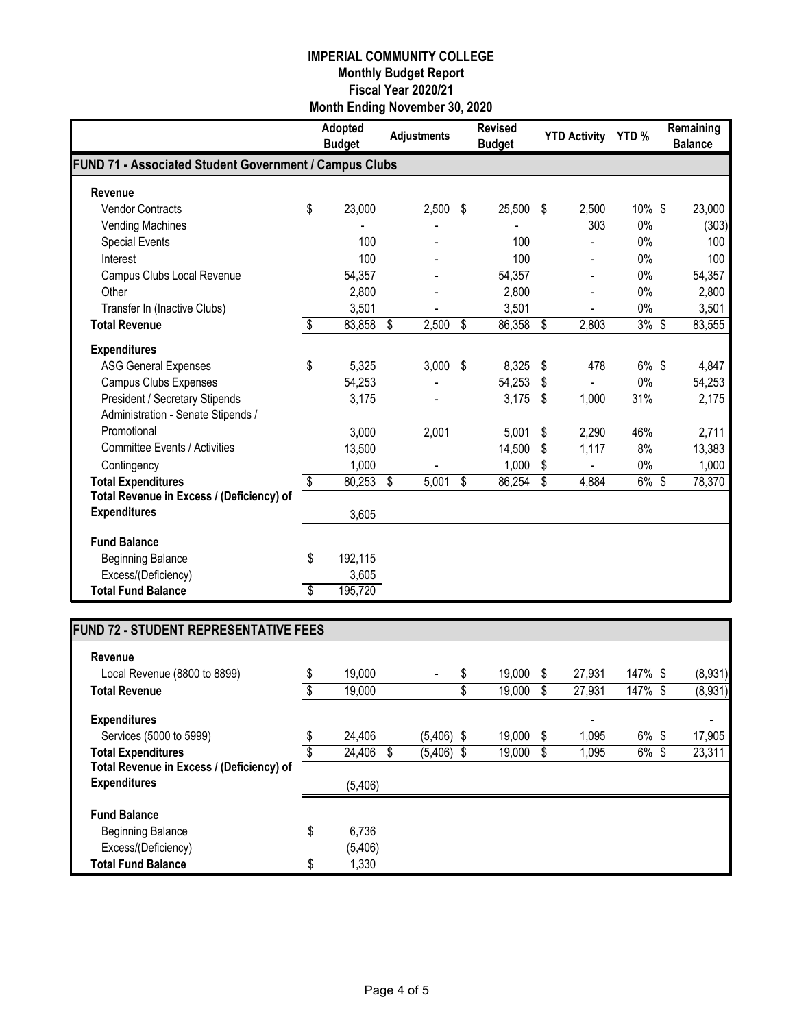|                                                        |                         | Adopted<br><b>Budget</b> | <b>Adjustments</b> | <b>Revised</b><br><b>Budget</b> | <b>YTD Activity</b> | YTD%    | Remaining<br><b>Balance</b> |
|--------------------------------------------------------|-------------------------|--------------------------|--------------------|---------------------------------|---------------------|---------|-----------------------------|
| FUND 71 - Associated Student Government / Campus Clubs |                         |                          |                    |                                 |                     |         |                             |
| Revenue                                                |                         |                          |                    |                                 |                     |         |                             |
| <b>Vendor Contracts</b>                                | \$                      | 23,000                   | 2,500              | \$<br>25,500                    | \$<br>2,500         | 10% \$  | 23,000                      |
| <b>Vending Machines</b>                                |                         |                          |                    |                                 | 303                 | 0%      | (303)                       |
| <b>Special Events</b>                                  |                         | 100                      |                    | 100                             |                     | $0\%$   | 100                         |
| Interest                                               |                         | 100                      |                    | 100                             |                     | 0%      | 100                         |
| Campus Clubs Local Revenue                             |                         | 54,357                   |                    | 54,357                          |                     | $0\%$   | 54,357                      |
| Other                                                  |                         | 2,800                    |                    | 2,800                           |                     | 0%      | 2,800                       |
| Transfer In (Inactive Clubs)                           |                         | 3,501                    |                    | 3,501                           |                     | 0%      | 3,501                       |
| <b>Total Revenue</b>                                   | \$                      | 83,858                   | 2,500<br>\$        | \$<br>86,358                    | \$<br>2,803         | $3%$ \$ | 83,555                      |
| <b>Expenditures</b>                                    |                         |                          |                    |                                 |                     |         |                             |
| <b>ASG General Expenses</b>                            | \$                      | 5,325                    | 3,000              | \$<br>8,325                     | \$<br>478           | 6% \$   | 4,847                       |
| <b>Campus Clubs Expenses</b>                           |                         | 54,253                   |                    | 54,253                          | \$                  | 0%      | 54,253                      |
| <b>President / Secretary Stipends</b>                  |                         | 3,175                    |                    | 3,175                           | \$<br>1,000         | 31%     | 2,175                       |
| Administration - Senate Stipends /                     |                         |                          |                    |                                 |                     |         |                             |
| Promotional                                            |                         | 3,000                    | 2,001              | 5,001                           | \$<br>2,290         | 46%     | 2,711                       |
| <b>Committee Events / Activities</b>                   |                         | 13,500                   |                    | 14,500                          | \$<br>1,117         | 8%      | 13,383                      |
| Contingency                                            |                         | 1,000                    |                    | 1,000                           | \$                  | 0%      | 1,000                       |
| <b>Total Expenditures</b>                              | $\overline{\mathbf{S}}$ | 80,253                   | \$<br>5,001        | \$<br>86,254                    | \$<br>4,884         | 6% \$   | 78,370                      |
| Total Revenue in Excess / (Deficiency) of              |                         |                          |                    |                                 |                     |         |                             |
| <b>Expenditures</b>                                    |                         | 3,605                    |                    |                                 |                     |         |                             |
| <b>Fund Balance</b>                                    |                         |                          |                    |                                 |                     |         |                             |
| <b>Beginning Balance</b>                               | \$                      | 192,115                  |                    |                                 |                     |         |                             |
| Excess/(Deficiency)                                    |                         | 3,605                    |                    |                                 |                     |         |                             |
| <b>Total Fund Balance</b>                              | \$                      | 195,720                  |                    |                                 |                     |         |                             |

# **FUND 72 - STUDENT REPRESENTATIVE FEES**

| Revenue                                   |              |              |    |        |     |                          |          |         |
|-------------------------------------------|--------------|--------------|----|--------|-----|--------------------------|----------|---------|
| Local Revenue (8800 to 8899)              | \$<br>19,000 |              | \$ | 19,000 | S   | 27,931                   | 147% \$  | (8,931) |
| <b>Total Revenue</b>                      | 19,000       |              | D  | 19,000 | \$. | 27,931                   | 147% \$  | (8,931) |
| <b>Expenditures</b>                       |              |              |    |        |     | $\overline{\phantom{0}}$ |          |         |
| Services (5000 to 5999)                   | \$<br>24,406 | $(5,406)$ \$ |    | 19,000 | S   | 1,095                    | $6\%$ \$ | 17,905  |
| <b>Total Expenditures</b>                 | 24,406<br>S  | $(5,406)$ \$ |    | 19,000 | S   | 1,095                    | 6% \$    | 23,311  |
| Total Revenue in Excess / (Deficiency) of |              |              |    |        |     |                          |          |         |
| <b>Expenditures</b>                       | (5,406)      |              |    |        |     |                          |          |         |
| <b>Fund Balance</b>                       |              |              |    |        |     |                          |          |         |
| <b>Beginning Balance</b>                  | \$<br>6,736  |              |    |        |     |                          |          |         |
| Excess/(Deficiency)                       | (5, 406)     |              |    |        |     |                          |          |         |
| <b>Total Fund Balance</b>                 | \$<br>1,330  |              |    |        |     |                          |          |         |